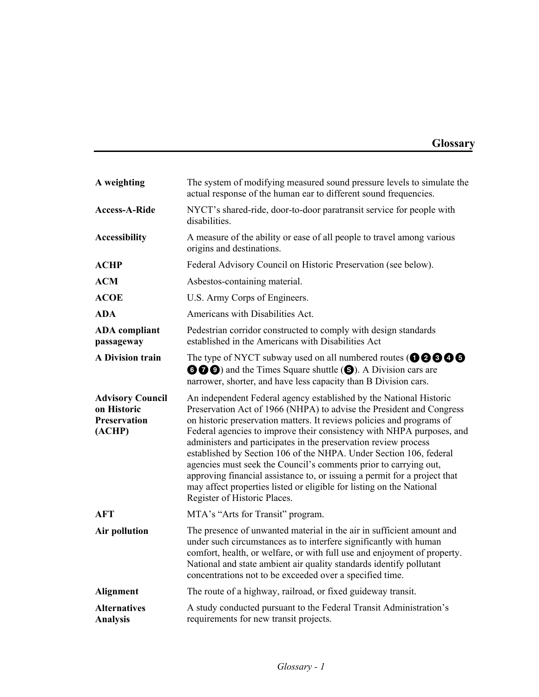| A weighting                                                             | The system of modifying measured sound pressure levels to simulate the<br>actual response of the human ear to different sound frequencies.                                                                                                                                                                                                                                                                                                                                                                                                                                                                                                                                                     |
|-------------------------------------------------------------------------|------------------------------------------------------------------------------------------------------------------------------------------------------------------------------------------------------------------------------------------------------------------------------------------------------------------------------------------------------------------------------------------------------------------------------------------------------------------------------------------------------------------------------------------------------------------------------------------------------------------------------------------------------------------------------------------------|
| <b>Access-A-Ride</b>                                                    | NYCT's shared-ride, door-to-door paratransit service for people with<br>disabilities                                                                                                                                                                                                                                                                                                                                                                                                                                                                                                                                                                                                           |
| <b>Accessibility</b>                                                    | A measure of the ability or ease of all people to travel among various<br>origins and destinations.                                                                                                                                                                                                                                                                                                                                                                                                                                                                                                                                                                                            |
| <b>ACHP</b>                                                             | Federal Advisory Council on Historic Preservation (see below).                                                                                                                                                                                                                                                                                                                                                                                                                                                                                                                                                                                                                                 |
| <b>ACM</b>                                                              | Asbestos-containing material.                                                                                                                                                                                                                                                                                                                                                                                                                                                                                                                                                                                                                                                                  |
| <b>ACOE</b>                                                             | U.S. Army Corps of Engineers.                                                                                                                                                                                                                                                                                                                                                                                                                                                                                                                                                                                                                                                                  |
| <b>ADA</b>                                                              | Americans with Disabilities Act.                                                                                                                                                                                                                                                                                                                                                                                                                                                                                                                                                                                                                                                               |
| <b>ADA</b> compliant<br>passageway                                      | Pedestrian corridor constructed to comply with design standards<br>established in the Americans with Disabilities Act                                                                                                                                                                                                                                                                                                                                                                                                                                                                                                                                                                          |
| <b>A Division train</b>                                                 | The type of NYCT subway used on all numbered routes ( $\mathbf{0} \mathbf{0} \mathbf{0} \mathbf{0}$<br><b>OOO</b> ) and the Times Square shuttle ( <b>O</b> ). A Division cars are<br>narrower, shorter, and have less capacity than B Division cars.                                                                                                                                                                                                                                                                                                                                                                                                                                          |
| <b>Advisory Council</b><br>on Historic<br><b>Preservation</b><br>(ACHP) | An independent Federal agency established by the National Historic<br>Preservation Act of 1966 (NHPA) to advise the President and Congress<br>on historic preservation matters. It reviews policies and programs of<br>Federal agencies to improve their consistency with NHPA purposes, and<br>administers and participates in the preservation review process<br>established by Section 106 of the NHPA. Under Section 106, federal<br>agencies must seek the Council's comments prior to carrying out,<br>approving financial assistance to, or issuing a permit for a project that<br>may affect properties listed or eligible for listing on the National<br>Register of Historic Places. |
| <b>AFT</b>                                                              | MTA's "Arts for Transit" program.                                                                                                                                                                                                                                                                                                                                                                                                                                                                                                                                                                                                                                                              |
| Air pollution                                                           | The presence of unwanted material in the air in sufficient amount and<br>under such circumstances as to interfere significantly with human<br>comfort, health, or welfare, or with full use and enjoyment of property.<br>National and state ambient air quality standards identify pollutant<br>concentrations not to be exceeded over a specified time.                                                                                                                                                                                                                                                                                                                                      |
| <b>Alignment</b>                                                        | The route of a highway, railroad, or fixed guideway transit.                                                                                                                                                                                                                                                                                                                                                                                                                                                                                                                                                                                                                                   |
| <b>Alternatives</b><br>Analysis                                         | A study conducted pursuant to the Federal Transit Administration's<br>requirements for new transit projects.                                                                                                                                                                                                                                                                                                                                                                                                                                                                                                                                                                                   |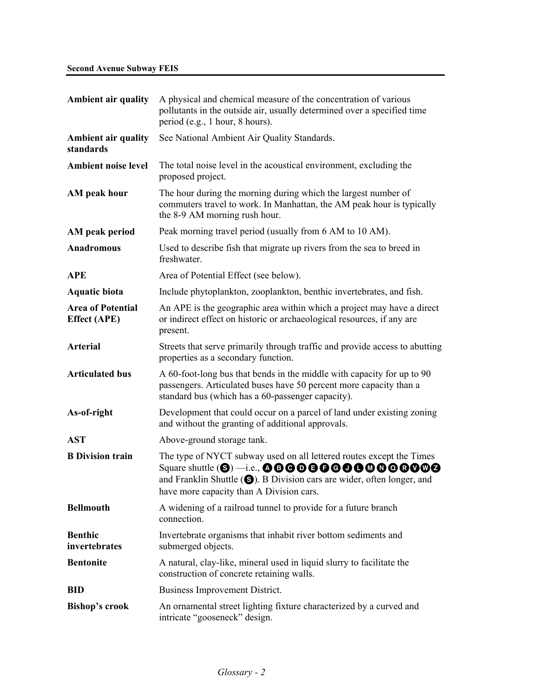| <b>Ambient air quality</b>                      | A physical and chemical measure of the concentration of various<br>pollutants in the outside air, usually determined over a specified time<br>period (e.g., 1 hour, 8 hours).                                       |
|-------------------------------------------------|---------------------------------------------------------------------------------------------------------------------------------------------------------------------------------------------------------------------|
| <b>Ambient air quality</b><br>standards         | See National Ambient Air Quality Standards.                                                                                                                                                                         |
| <b>Ambient noise level</b>                      | The total noise level in the acoustical environment, excluding the<br>proposed project.                                                                                                                             |
| AM peak hour                                    | The hour during the morning during which the largest number of<br>commuters travel to work. In Manhattan, the AM peak hour is typically<br>the 8-9 AM morning rush hour.                                            |
| AM peak period                                  | Peak morning travel period (usually from 6 AM to 10 AM).                                                                                                                                                            |
| Anadromous                                      | Used to describe fish that migrate up rivers from the sea to breed in<br>freshwater.                                                                                                                                |
| <b>APE</b>                                      | Area of Potential Effect (see below).                                                                                                                                                                               |
| <b>Aquatic biota</b>                            | Include phytoplankton, zooplankton, benthic invertebrates, and fish.                                                                                                                                                |
| <b>Area of Potential</b><br><b>Effect</b> (APE) | An APE is the geographic area within which a project may have a direct<br>or indirect effect on historic or archaeological resources, if any are<br>present.                                                        |
| <b>Arterial</b>                                 | Streets that serve primarily through traffic and provide access to abutting<br>properties as a secondary function.                                                                                                  |
| <b>Articulated bus</b>                          | A 60-foot-long bus that bends in the middle with capacity for up to 90<br>passengers. Articulated buses have 50 percent more capacity than a<br>standard bus (which has a 60-passenger capacity).                   |
| As-of-right                                     | Development that could occur on a parcel of land under existing zoning<br>and without the granting of additional approvals.                                                                                         |
| <b>AST</b>                                      | Above-ground storage tank.                                                                                                                                                                                          |
| <b>B</b> Division train                         | The type of NYCT subway used on all lettered routes except the Times<br>and Franklin Shuttle $\left( \bigotimes \right)$ . B Division cars are wider, often longer, and<br>have more capacity than A Division cars. |
| <b>Bellmouth</b>                                | A widening of a railroad tunnel to provide for a future branch<br>connection.                                                                                                                                       |
| <b>Benthic</b><br>invertebrates                 | Invertebrate organisms that inhabit river bottom sediments and<br>submerged objects.                                                                                                                                |
| <b>Bentonite</b>                                | A natural, clay-like, mineral used in liquid slurry to facilitate the<br>construction of concrete retaining walls.                                                                                                  |
| <b>BID</b>                                      | Business Improvement District.                                                                                                                                                                                      |
| <b>Bishop's crook</b>                           | An ornamental street lighting fixture characterized by a curved and<br>intricate "gooseneck" design.                                                                                                                |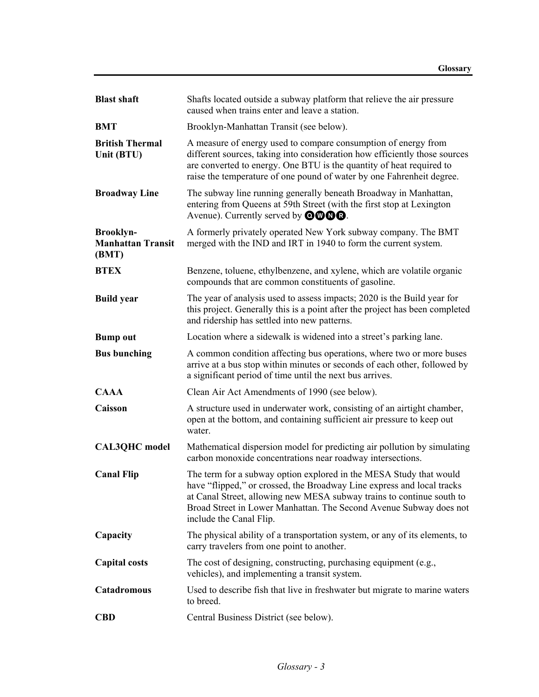| <b>Blast shaft</b>                                    | Shafts located outside a subway platform that relieve the air pressure<br>caused when trains enter and leave a station.                                                                                                                                                                                                |
|-------------------------------------------------------|------------------------------------------------------------------------------------------------------------------------------------------------------------------------------------------------------------------------------------------------------------------------------------------------------------------------|
| <b>BMT</b>                                            | Brooklyn-Manhattan Transit (see below).                                                                                                                                                                                                                                                                                |
| <b>British Thermal</b><br>Unit (BTU)                  | A measure of energy used to compare consumption of energy from<br>different sources, taking into consideration how efficiently those sources<br>are converted to energy. One BTU is the quantity of heat required to<br>raise the temperature of one pound of water by one Fahrenheit degree.                          |
| <b>Broadway Line</b>                                  | The subway line running generally beneath Broadway in Manhattan,<br>entering from Queens at 59th Street (with the first stop at Lexington<br>Avenue). Currently served by $\mathbf{O}\mathbf{O}\mathbf{O}\mathbf{O}$ .                                                                                                 |
| <b>Brooklyn-</b><br><b>Manhattan Transit</b><br>(BMT) | A formerly privately operated New York subway company. The BMT<br>merged with the IND and IRT in 1940 to form the current system.                                                                                                                                                                                      |
| <b>BTEX</b>                                           | Benzene, toluene, ethylbenzene, and xylene, which are volatile organic<br>compounds that are common constituents of gasoline.                                                                                                                                                                                          |
| <b>Build year</b>                                     | The year of analysis used to assess impacts; 2020 is the Build year for<br>this project. Generally this is a point after the project has been completed<br>and ridership has settled into new patterns.                                                                                                                |
| <b>Bump out</b>                                       | Location where a sidewalk is widened into a street's parking lane.                                                                                                                                                                                                                                                     |
| <b>Bus bunching</b>                                   | A common condition affecting bus operations, where two or more buses<br>arrive at a bus stop within minutes or seconds of each other, followed by<br>a significant period of time until the next bus arrives.                                                                                                          |
| <b>CAAA</b>                                           | Clean Air Act Amendments of 1990 (see below).                                                                                                                                                                                                                                                                          |
| Caisson                                               | A structure used in underwater work, consisting of an airtight chamber,<br>open at the bottom, and containing sufficient air pressure to keep out<br>water.                                                                                                                                                            |
| <b>CAL3QHC</b> model                                  | Mathematical dispersion model for predicting air pollution by simulating<br>carbon monoxide concentrations near roadway intersections.                                                                                                                                                                                 |
| <b>Canal Flip</b>                                     | The term for a subway option explored in the MESA Study that would<br>have "flipped," or crossed, the Broadway Line express and local tracks<br>at Canal Street, allowing new MESA subway trains to continue south to<br>Broad Street in Lower Manhattan. The Second Avenue Subway does not<br>include the Canal Flip. |
| Capacity                                              | The physical ability of a transportation system, or any of its elements, to<br>carry travelers from one point to another.                                                                                                                                                                                              |
| <b>Capital costs</b>                                  | The cost of designing, constructing, purchasing equipment (e.g.,<br>vehicles), and implementing a transit system.                                                                                                                                                                                                      |
| Catadromous                                           | Used to describe fish that live in freshwater but migrate to marine waters<br>to breed.                                                                                                                                                                                                                                |
| <b>CBD</b>                                            | Central Business District (see below).                                                                                                                                                                                                                                                                                 |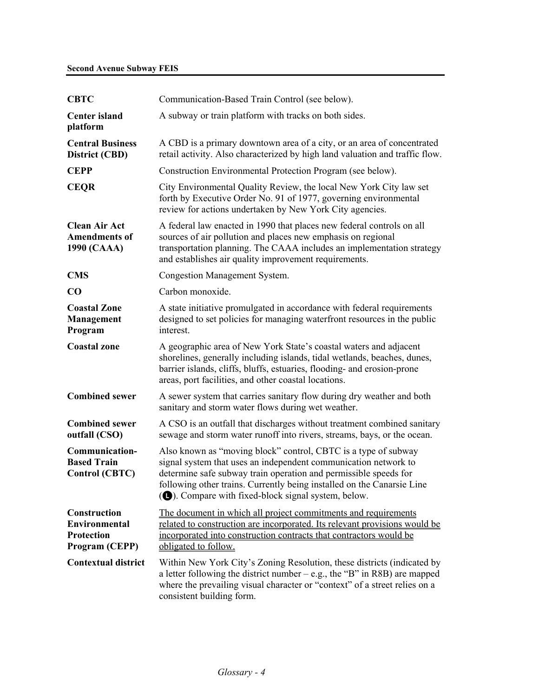## **Second Avenue Subway FEIS**

| <b>CBTC</b>                                                                 | Communication-Based Train Control (see below).                                                                                                                                                                                                                                                                                         |
|-----------------------------------------------------------------------------|----------------------------------------------------------------------------------------------------------------------------------------------------------------------------------------------------------------------------------------------------------------------------------------------------------------------------------------|
| <b>Center island</b><br>platform                                            | A subway or train platform with tracks on both sides.                                                                                                                                                                                                                                                                                  |
| <b>Central Business</b><br>District (CBD)                                   | A CBD is a primary downtown area of a city, or an area of concentrated<br>retail activity. Also characterized by high land valuation and traffic flow.                                                                                                                                                                                 |
| <b>CEPP</b>                                                                 | Construction Environmental Protection Program (see below).                                                                                                                                                                                                                                                                             |
| <b>CEQR</b>                                                                 | City Environmental Quality Review, the local New York City law set<br>forth by Executive Order No. 91 of 1977, governing environmental<br>review for actions undertaken by New York City agencies.                                                                                                                                     |
| <b>Clean Air Act</b><br><b>Amendments of</b><br>1990 (CAAA)                 | A federal law enacted in 1990 that places new federal controls on all<br>sources of air pollution and places new emphasis on regional<br>transportation planning. The CAAA includes an implementation strategy<br>and establishes air quality improvement requirements.                                                                |
| <b>CMS</b>                                                                  | <b>Congestion Management System.</b>                                                                                                                                                                                                                                                                                                   |
| CO                                                                          | Carbon monoxide.                                                                                                                                                                                                                                                                                                                       |
| <b>Coastal Zone</b><br>Management<br>Program                                | A state initiative promulgated in accordance with federal requirements<br>designed to set policies for managing waterfront resources in the public<br>interest.                                                                                                                                                                        |
| <b>Coastal</b> zone                                                         | A geographic area of New York State's coastal waters and adjacent<br>shorelines, generally including islands, tidal wetlands, beaches, dunes,<br>barrier islands, cliffs, bluffs, estuaries, flooding- and erosion-prone<br>areas, port facilities, and other coastal locations.                                                       |
| <b>Combined sewer</b>                                                       | A sewer system that carries sanitary flow during dry weather and both<br>sanitary and storm water flows during wet weather.                                                                                                                                                                                                            |
| <b>Combined sewer</b><br>outfall (CSO)                                      | A CSO is an outfall that discharges without treatment combined sanitary<br>sewage and storm water runoff into rivers, streams, bays, or the ocean.                                                                                                                                                                                     |
| <b>Communication-</b><br><b>Based Train</b><br><b>Control (CBTC)</b>        | Also known as "moving block" control, CBTC is a type of subway<br>signal system that uses an independent communication network to<br>determine safe subway train operation and permissible speeds for<br>following other trains. Currently being installed on the Canarsie Line<br>(O). Compare with fixed-block signal system, below. |
| Construction<br><b>Environmental</b><br><b>Protection</b><br>Program (CEPP) | The document in which all project commitments and requirements<br>related to construction are incorporated. Its relevant provisions would be<br>incorporated into construction contracts that contractors would be<br>obligated to follow.                                                                                             |
| <b>Contextual district</b>                                                  | Within New York City's Zoning Resolution, these districts (indicated by<br>a letter following the district number $-$ e.g., the "B" in R8B) are mapped<br>where the prevailing visual character or "context" of a street relies on a<br>consistent building form.                                                                      |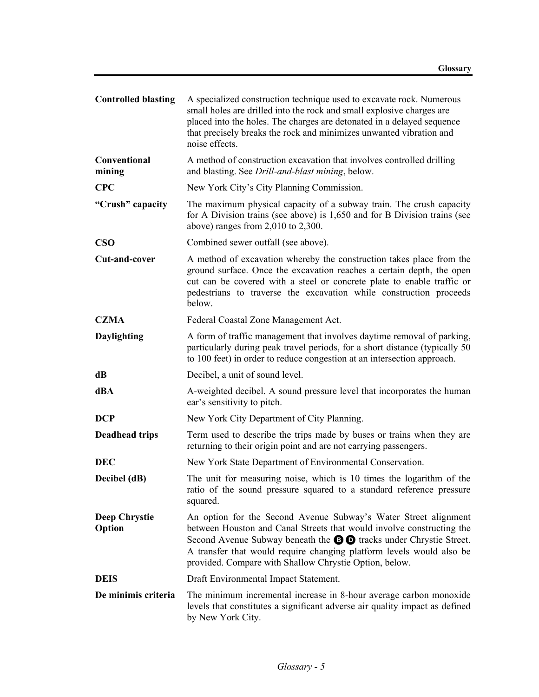| <b>Controlled blasting</b>     | A specialized construction technique used to excavate rock. Numerous<br>small holes are drilled into the rock and small explosive charges are<br>placed into the holes. The charges are detonated in a delayed sequence<br>that precisely breaks the rock and minimizes unwanted vibration and<br>noise effects.                                               |
|--------------------------------|----------------------------------------------------------------------------------------------------------------------------------------------------------------------------------------------------------------------------------------------------------------------------------------------------------------------------------------------------------------|
| Conventional<br>mining         | A method of construction excavation that involves controlled drilling<br>and blasting. See Drill-and-blast mining, below.                                                                                                                                                                                                                                      |
| <b>CPC</b>                     | New York City's City Planning Commission.                                                                                                                                                                                                                                                                                                                      |
| "Crush" capacity               | The maximum physical capacity of a subway train. The crush capacity<br>for A Division trains (see above) is 1,650 and for B Division trains (see<br>above) ranges from $2,010$ to $2,300$ .                                                                                                                                                                    |
| $\bf CSO$                      | Combined sewer outfall (see above).                                                                                                                                                                                                                                                                                                                            |
| Cut-and-cover                  | A method of excavation whereby the construction takes place from the<br>ground surface. Once the excavation reaches a certain depth, the open<br>cut can be covered with a steel or concrete plate to enable traffic or<br>pedestrians to traverse the excavation while construction proceeds<br>below.                                                        |
| <b>CZMA</b>                    | Federal Coastal Zone Management Act.                                                                                                                                                                                                                                                                                                                           |
| Daylighting                    | A form of traffic management that involves daytime removal of parking,<br>particularly during peak travel periods, for a short distance (typically 50<br>to 100 feet) in order to reduce congestion at an intersection approach.                                                                                                                               |
| dB                             | Decibel, a unit of sound level.                                                                                                                                                                                                                                                                                                                                |
| dBA                            | A-weighted decibel. A sound pressure level that incorporates the human<br>ear's sensitivity to pitch.                                                                                                                                                                                                                                                          |
| <b>DCP</b>                     | New York City Department of City Planning.                                                                                                                                                                                                                                                                                                                     |
| <b>Deadhead trips</b>          | Term used to describe the trips made by buses or trains when they are<br>returning to their origin point and are not carrying passengers.                                                                                                                                                                                                                      |
| <b>DEC</b>                     | New York State Department of Environmental Conservation.                                                                                                                                                                                                                                                                                                       |
| Decibel (dB)                   | The unit for measuring noise, which is 10 times the logarithm of the<br>ratio of the sound pressure squared to a standard reference pressure<br>squared.                                                                                                                                                                                                       |
| <b>Deep Chrystie</b><br>Option | An option for the Second Avenue Subway's Water Street alignment<br>between Houston and Canal Streets that would involve constructing the<br>Second Avenue Subway beneath the $\Theta$ $\Theta$ tracks under Chrystie Street.<br>A transfer that would require changing platform levels would also be<br>provided. Compare with Shallow Chrystie Option, below. |
| <b>DEIS</b>                    | Draft Environmental Impact Statement.                                                                                                                                                                                                                                                                                                                          |
| De minimis criteria            | The minimum incremental increase in 8-hour average carbon monoxide<br>levels that constitutes a significant adverse air quality impact as defined<br>by New York City.                                                                                                                                                                                         |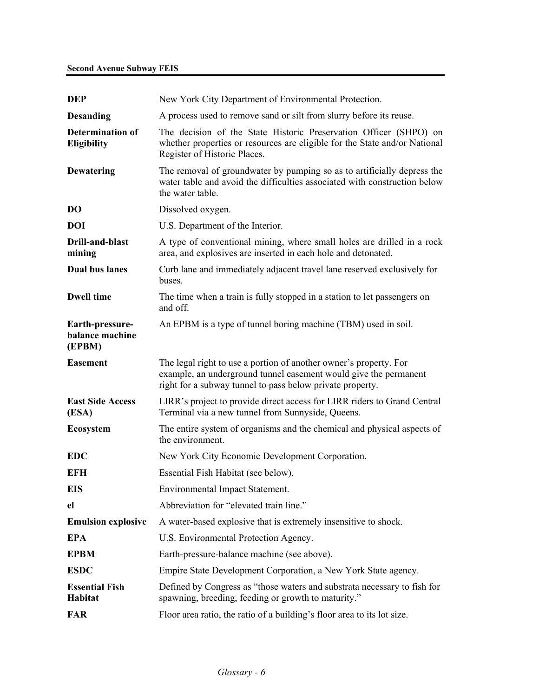| <b>DEP</b>                                    | New York City Department of Environmental Protection.                                                                                                                                              |
|-----------------------------------------------|----------------------------------------------------------------------------------------------------------------------------------------------------------------------------------------------------|
| <b>Desanding</b>                              | A process used to remove sand or silt from slurry before its reuse.                                                                                                                                |
| <b>Determination of</b><br><b>Eligibility</b> | The decision of the State Historic Preservation Officer (SHPO) on<br>whether properties or resources are eligible for the State and/or National<br>Register of Historic Places.                    |
| <b>Dewatering</b>                             | The removal of groundwater by pumping so as to artificially depress the<br>water table and avoid the difficulties associated with construction below<br>the water table.                           |
| <b>DO</b>                                     | Dissolved oxygen.                                                                                                                                                                                  |
| <b>DOI</b>                                    | U.S. Department of the Interior.                                                                                                                                                                   |
| Drill-and-blast<br>mining                     | A type of conventional mining, where small holes are drilled in a rock<br>area, and explosives are inserted in each hole and detonated.                                                            |
| <b>Dual bus lanes</b>                         | Curb lane and immediately adjacent travel lane reserved exclusively for<br>buses.                                                                                                                  |
| <b>Dwell time</b>                             | The time when a train is fully stopped in a station to let passengers on<br>and off.                                                                                                               |
| Earth-pressure-<br>balance machine<br>(EPBM)  | An EPBM is a type of tunnel boring machine (TBM) used in soil.                                                                                                                                     |
|                                               |                                                                                                                                                                                                    |
| <b>Easement</b>                               | The legal right to use a portion of another owner's property. For<br>example, an underground tunnel easement would give the permanent<br>right for a subway tunnel to pass below private property. |
| <b>East Side Access</b><br>(ESA)              | LIRR's project to provide direct access for LIRR riders to Grand Central<br>Terminal via a new tunnel from Sunnyside, Queens.                                                                      |
| <b>Ecosystem</b>                              | The entire system of organisms and the chemical and physical aspects of<br>the environment.                                                                                                        |
| <b>EDC</b>                                    | New York City Economic Development Corporation.                                                                                                                                                    |
| EFH                                           | Essential Fish Habitat (see below).                                                                                                                                                                |
| <b>EIS</b>                                    | Environmental Impact Statement.                                                                                                                                                                    |
| el                                            | Abbreviation for "elevated train line."                                                                                                                                                            |
| <b>Emulsion explosive</b>                     | A water-based explosive that is extremely insensitive to shock.                                                                                                                                    |
| <b>EPA</b>                                    | U.S. Environmental Protection Agency.                                                                                                                                                              |
| <b>EPBM</b>                                   | Earth-pressure-balance machine (see above).                                                                                                                                                        |
| <b>ESDC</b>                                   | Empire State Development Corporation, a New York State agency.                                                                                                                                     |
| <b>Essential Fish</b><br><b>Habitat</b>       | Defined by Congress as "those waters and substrata necessary to fish for<br>spawning, breeding, feeding or growth to maturity."                                                                    |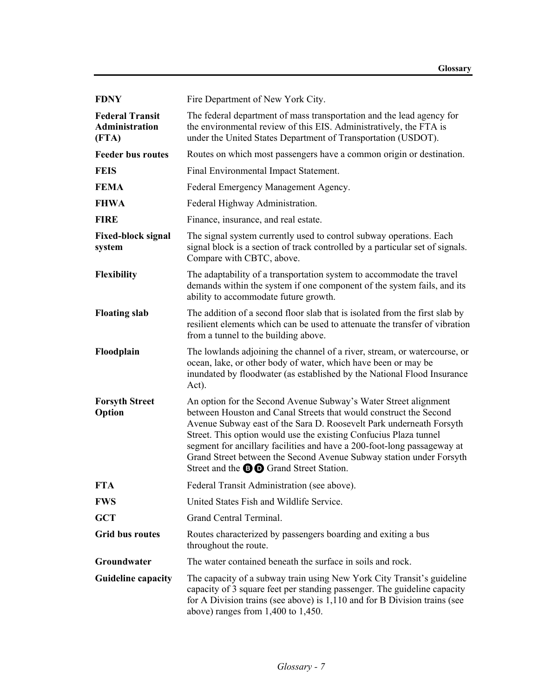| <b>FDNY</b>                                       | Fire Department of New York City.                                                                                                                                                                                                                                                                                                                                                                                                                                                    |
|---------------------------------------------------|--------------------------------------------------------------------------------------------------------------------------------------------------------------------------------------------------------------------------------------------------------------------------------------------------------------------------------------------------------------------------------------------------------------------------------------------------------------------------------------|
| <b>Federal Transit</b><br>Administration<br>(FTA) | The federal department of mass transportation and the lead agency for<br>the environmental review of this EIS. Administratively, the FTA is<br>under the United States Department of Transportation (USDOT).                                                                                                                                                                                                                                                                         |
| <b>Feeder bus routes</b>                          | Routes on which most passengers have a common origin or destination.                                                                                                                                                                                                                                                                                                                                                                                                                 |
| <b>FEIS</b>                                       | Final Environmental Impact Statement.                                                                                                                                                                                                                                                                                                                                                                                                                                                |
| <b>FEMA</b>                                       | Federal Emergency Management Agency.                                                                                                                                                                                                                                                                                                                                                                                                                                                 |
| <b>FHWA</b>                                       | Federal Highway Administration.                                                                                                                                                                                                                                                                                                                                                                                                                                                      |
| <b>FIRE</b>                                       | Finance, insurance, and real estate.                                                                                                                                                                                                                                                                                                                                                                                                                                                 |
| <b>Fixed-block signal</b><br>system               | The signal system currently used to control subway operations. Each<br>signal block is a section of track controlled by a particular set of signals.<br>Compare with CBTC, above.                                                                                                                                                                                                                                                                                                    |
| Flexibility                                       | The adaptability of a transportation system to accommodate the travel<br>demands within the system if one component of the system fails, and its<br>ability to accommodate future growth.                                                                                                                                                                                                                                                                                            |
| <b>Floating slab</b>                              | The addition of a second floor slab that is isolated from the first slab by<br>resilient elements which can be used to attenuate the transfer of vibration<br>from a tunnel to the building above.                                                                                                                                                                                                                                                                                   |
| Floodplain                                        | The lowlands adjoining the channel of a river, stream, or watercourse, or<br>ocean, lake, or other body of water, which have been or may be<br>inundated by floodwater (as established by the National Flood Insurance<br>Act).                                                                                                                                                                                                                                                      |
| <b>Forsyth Street</b><br>Option                   | An option for the Second Avenue Subway's Water Street alignment<br>between Houston and Canal Streets that would construct the Second<br>Avenue Subway east of the Sara D. Roosevelt Park underneath Forsyth<br>Street. This option would use the existing Confucius Plaza tunnel<br>segment for ancillary facilities and have a 200-foot-long passageway at<br>Grand Street between the Second Avenue Subway station under Forsyth<br>Street and the <b>BD</b> Grand Street Station. |
| <b>FTA</b>                                        | Federal Transit Administration (see above).                                                                                                                                                                                                                                                                                                                                                                                                                                          |
| <b>FWS</b>                                        | United States Fish and Wildlife Service.                                                                                                                                                                                                                                                                                                                                                                                                                                             |
| <b>GCT</b>                                        | Grand Central Terminal.                                                                                                                                                                                                                                                                                                                                                                                                                                                              |
| <b>Grid bus routes</b>                            | Routes characterized by passengers boarding and exiting a bus<br>throughout the route.                                                                                                                                                                                                                                                                                                                                                                                               |
| Groundwater                                       | The water contained beneath the surface in soils and rock.                                                                                                                                                                                                                                                                                                                                                                                                                           |
| <b>Guideline capacity</b>                         | The capacity of a subway train using New York City Transit's guideline<br>capacity of 3 square feet per standing passenger. The guideline capacity<br>for A Division trains (see above) is 1,110 and for B Division trains (see<br>above) ranges from $1,400$ to $1,450$ .                                                                                                                                                                                                           |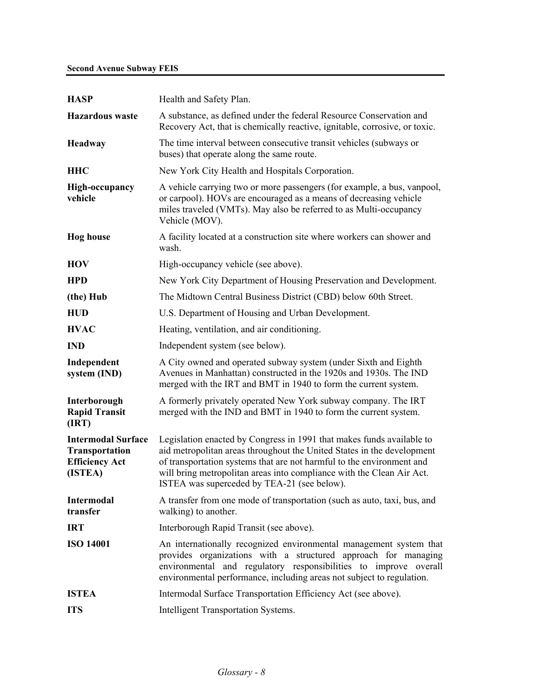## **Second Avenue Subway FEIS**

| <b>HASP</b>                                                                     | Health and Safety Plan.                                                                                                                                                                                                                                                                                                                          |
|---------------------------------------------------------------------------------|--------------------------------------------------------------------------------------------------------------------------------------------------------------------------------------------------------------------------------------------------------------------------------------------------------------------------------------------------|
| <b>Hazardous</b> waste                                                          | A substance, as defined under the federal Resource Conservation and<br>Recovery Act, that is chemically reactive, ignitable, corrosive, or toxic.                                                                                                                                                                                                |
| Headway                                                                         | The time interval between consecutive transit vehicles (subways or<br>buses) that operate along the same route.                                                                                                                                                                                                                                  |
| <b>HHC</b>                                                                      | New York City Health and Hospitals Corporation.                                                                                                                                                                                                                                                                                                  |
| <b>High-occupancy</b><br>vehicle                                                | A vehicle carrying two or more passengers (for example, a bus, vanpool,<br>or carpool). HOVs are encouraged as a means of decreasing vehicle<br>miles traveled (VMTs). May also be referred to as Multi-occupancy<br>Vehicle (MOV).                                                                                                              |
| <b>Hog</b> house                                                                | A facility located at a construction site where workers can shower and<br>wash.                                                                                                                                                                                                                                                                  |
| <b>HOV</b>                                                                      | High-occupancy vehicle (see above).                                                                                                                                                                                                                                                                                                              |
| <b>HPD</b>                                                                      | New York City Department of Housing Preservation and Development.                                                                                                                                                                                                                                                                                |
| (the) Hub                                                                       | The Midtown Central Business District (CBD) below 60th Street.                                                                                                                                                                                                                                                                                   |
| <b>HUD</b>                                                                      | U.S. Department of Housing and Urban Development.                                                                                                                                                                                                                                                                                                |
| <b>HVAC</b>                                                                     | Heating, ventilation, and air conditioning.                                                                                                                                                                                                                                                                                                      |
| <b>IND</b>                                                                      | Independent system (see below).                                                                                                                                                                                                                                                                                                                  |
| Independent<br>system (IND)                                                     | A City owned and operated subway system (under Sixth and Eighth<br>Avenues in Manhattan) constructed in the 1920s and 1930s. The IND<br>merged with the IRT and BMT in 1940 to form the current system.                                                                                                                                          |
| Interborough<br><b>Rapid Transit</b><br>(IRT)                                   | A formerly privately operated New York subway company. The IRT<br>merged with the IND and BMT in 1940 to form the current system.                                                                                                                                                                                                                |
| <b>Intermodal Surface</b><br>Transportation<br><b>Efficiency Act</b><br>(ISTEA) | Legislation enacted by Congress in 1991 that makes funds available to<br>aid metropolitan areas throughout the United States in the development<br>of transportation systems that are not harmful to the environment and<br>will bring metropolitan areas into compliance with the Clean Air Act.<br>ISTEA was superceded by TEA-21 (see below). |
| Intermodal<br>transfer                                                          | A transfer from one mode of transportation (such as auto, taxi, bus, and<br>walking) to another.                                                                                                                                                                                                                                                 |
| <b>IRT</b>                                                                      | Interborough Rapid Transit (see above).                                                                                                                                                                                                                                                                                                          |
| <b>ISO 14001</b>                                                                | An internationally recognized environmental management system that<br>provides organizations with a structured approach for managing<br>environmental and regulatory responsibilities to improve overall<br>environmental performance, including areas not subject to regulation.                                                                |
| <b>ISTEA</b>                                                                    | Intermodal Surface Transportation Efficiency Act (see above).                                                                                                                                                                                                                                                                                    |
| <b>ITS</b>                                                                      | <b>Intelligent Transportation Systems.</b>                                                                                                                                                                                                                                                                                                       |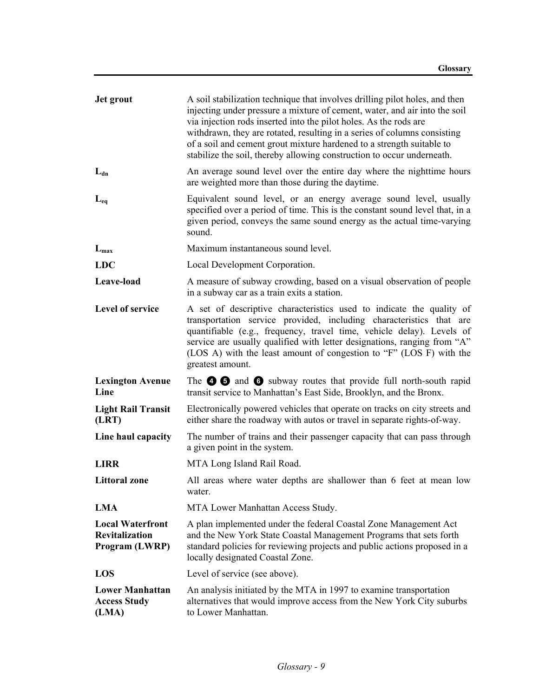| Jet grout                                                          | A soil stabilization technique that involves drilling pilot holes, and then<br>injecting under pressure a mixture of cement, water, and air into the soil<br>via injection rods inserted into the pilot holes. As the rods are<br>withdrawn, they are rotated, resulting in a series of columns consisting<br>of a soil and cement grout mixture hardened to a strength suitable to<br>stabilize the soil, thereby allowing construction to occur underneath. |
|--------------------------------------------------------------------|---------------------------------------------------------------------------------------------------------------------------------------------------------------------------------------------------------------------------------------------------------------------------------------------------------------------------------------------------------------------------------------------------------------------------------------------------------------|
| $L_{dn}$                                                           | An average sound level over the entire day where the nighttime hours<br>are weighted more than those during the daytime.                                                                                                                                                                                                                                                                                                                                      |
| $L_{eq}$                                                           | Equivalent sound level, or an energy average sound level, usually<br>specified over a period of time. This is the constant sound level that, in a<br>given period, conveys the same sound energy as the actual time-varying<br>sound.                                                                                                                                                                                                                         |
| $L_{\rm max}$                                                      | Maximum instantaneous sound level.                                                                                                                                                                                                                                                                                                                                                                                                                            |
| <b>LDC</b>                                                         | Local Development Corporation.                                                                                                                                                                                                                                                                                                                                                                                                                                |
| Leave-load                                                         | A measure of subway crowding, based on a visual observation of people<br>in a subway car as a train exits a station.                                                                                                                                                                                                                                                                                                                                          |
| Level of service                                                   | A set of descriptive characteristics used to indicate the quality of<br>transportation service provided, including characteristics that are<br>quantifiable (e.g., frequency, travel time, vehicle delay). Levels of<br>service are usually qualified with letter designations, ranging from "A"<br>(LOS A) with the least amount of congestion to "F" (LOS F) with the<br>greatest amount.                                                                   |
| <b>Lexington Avenue</b><br>Line                                    | The $\bullet$ $\bullet$ and $\bullet$ subway routes that provide full north-south rapid<br>transit service to Manhattan's East Side, Brooklyn, and the Bronx.                                                                                                                                                                                                                                                                                                 |
| <b>Light Rail Transit</b><br>(LRT)                                 | Electronically powered vehicles that operate on tracks on city streets and<br>either share the roadway with autos or travel in separate rights-of-way.                                                                                                                                                                                                                                                                                                        |
| Line haul capacity                                                 | The number of trains and their passenger capacity that can pass through<br>a given point in the system.                                                                                                                                                                                                                                                                                                                                                       |
| <b>LIRR</b>                                                        | MTA Long Island Rail Road.                                                                                                                                                                                                                                                                                                                                                                                                                                    |
| <b>Littoral zone</b>                                               | All areas where water depths are shallower than 6 feet at mean low<br>water.                                                                                                                                                                                                                                                                                                                                                                                  |
| <b>LMA</b>                                                         | MTA Lower Manhattan Access Study.                                                                                                                                                                                                                                                                                                                                                                                                                             |
| <b>Local Waterfront</b><br><b>Revitalization</b><br>Program (LWRP) | A plan implemented under the federal Coastal Zone Management Act<br>and the New York State Coastal Management Programs that sets forth<br>standard policies for reviewing projects and public actions proposed in a<br>locally designated Coastal Zone.                                                                                                                                                                                                       |
| LOS                                                                | Level of service (see above).                                                                                                                                                                                                                                                                                                                                                                                                                                 |
| <b>Lower Manhattan</b><br><b>Access Study</b><br>(LMA)             | An analysis initiated by the MTA in 1997 to examine transportation<br>alternatives that would improve access from the New York City suburbs<br>to Lower Manhattan.                                                                                                                                                                                                                                                                                            |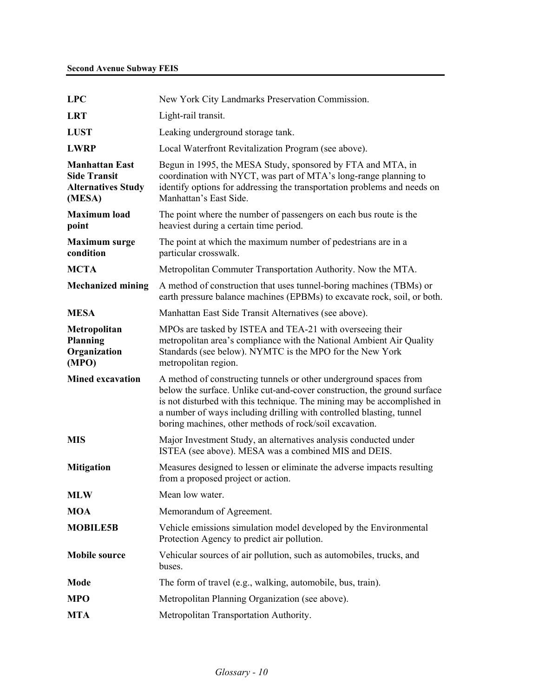| <b>LPC</b>                                                                          | New York City Landmarks Preservation Commission.                                                                                                                                                                                                                                                                                                            |
|-------------------------------------------------------------------------------------|-------------------------------------------------------------------------------------------------------------------------------------------------------------------------------------------------------------------------------------------------------------------------------------------------------------------------------------------------------------|
| <b>LRT</b>                                                                          | Light-rail transit.                                                                                                                                                                                                                                                                                                                                         |
| <b>LUST</b>                                                                         | Leaking underground storage tank.                                                                                                                                                                                                                                                                                                                           |
| <b>LWRP</b>                                                                         | Local Waterfront Revitalization Program (see above).                                                                                                                                                                                                                                                                                                        |
| <b>Manhattan East</b><br><b>Side Transit</b><br><b>Alternatives Study</b><br>(MESA) | Begun in 1995, the MESA Study, sponsored by FTA and MTA, in<br>coordination with NYCT, was part of MTA's long-range planning to<br>identify options for addressing the transportation problems and needs on<br>Manhattan's East Side.                                                                                                                       |
| <b>Maximum</b> load<br>point                                                        | The point where the number of passengers on each bus route is the<br>heaviest during a certain time period.                                                                                                                                                                                                                                                 |
| <b>Maximum</b> surge<br>condition                                                   | The point at which the maximum number of pedestrians are in a<br>particular crosswalk.                                                                                                                                                                                                                                                                      |
| <b>MCTA</b>                                                                         | Metropolitan Commuter Transportation Authority. Now the MTA.                                                                                                                                                                                                                                                                                                |
| <b>Mechanized mining</b>                                                            | A method of construction that uses tunnel-boring machines (TBMs) or<br>earth pressure balance machines (EPBMs) to excavate rock, soil, or both.                                                                                                                                                                                                             |
| <b>MESA</b>                                                                         | Manhattan East Side Transit Alternatives (see above).                                                                                                                                                                                                                                                                                                       |
| Metropolitan<br>Planning<br>Organization<br>(MPO)                                   | MPOs are tasked by ISTEA and TEA-21 with overseeing their<br>metropolitan area's compliance with the National Ambient Air Quality<br>Standards (see below). NYMTC is the MPO for the New York<br>metropolitan region.                                                                                                                                       |
| <b>Mined excavation</b>                                                             | A method of constructing tunnels or other underground spaces from<br>below the surface. Unlike cut-and-cover construction, the ground surface<br>is not disturbed with this technique. The mining may be accomplished in<br>a number of ways including drilling with controlled blasting, tunnel<br>boring machines, other methods of rock/soil excavation. |
| <b>MIS</b>                                                                          | Major Investment Study, an alternatives analysis conducted under<br>ISTEA (see above). MESA was a combined MIS and DEIS.                                                                                                                                                                                                                                    |
| <b>Mitigation</b>                                                                   | Measures designed to lessen or eliminate the adverse impacts resulting<br>from a proposed project or action.                                                                                                                                                                                                                                                |
| <b>MLW</b>                                                                          | Mean low water.                                                                                                                                                                                                                                                                                                                                             |
| <b>MOA</b>                                                                          | Memorandum of Agreement.                                                                                                                                                                                                                                                                                                                                    |
| <b>MOBILE5B</b>                                                                     | Vehicle emissions simulation model developed by the Environmental<br>Protection Agency to predict air pollution.                                                                                                                                                                                                                                            |
| <b>Mobile source</b>                                                                | Vehicular sources of air pollution, such as automobiles, trucks, and<br>buses.                                                                                                                                                                                                                                                                              |
| Mode                                                                                | The form of travel (e.g., walking, automobile, bus, train).                                                                                                                                                                                                                                                                                                 |
| <b>MPO</b>                                                                          | Metropolitan Planning Organization (see above).                                                                                                                                                                                                                                                                                                             |
| <b>MTA</b>                                                                          | Metropolitan Transportation Authority.                                                                                                                                                                                                                                                                                                                      |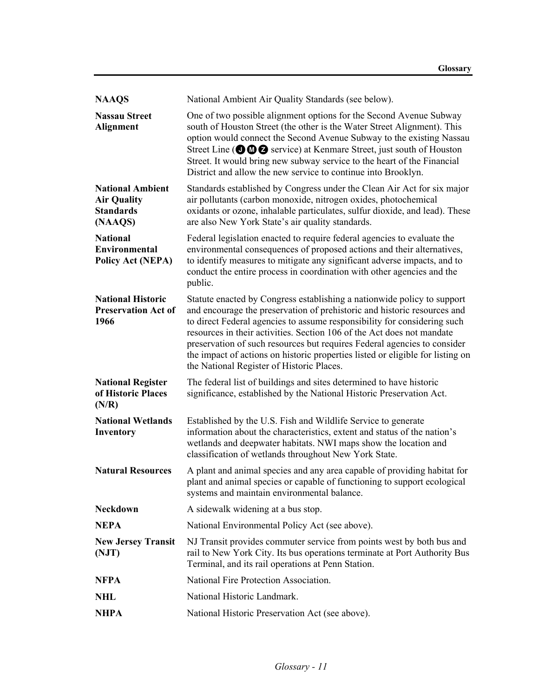| <b>NAAQS</b>                                                                 | National Ambient Air Quality Standards (see below).                                                                                                                                                                                                                                                                                                                                                                                                                                                                  |
|------------------------------------------------------------------------------|----------------------------------------------------------------------------------------------------------------------------------------------------------------------------------------------------------------------------------------------------------------------------------------------------------------------------------------------------------------------------------------------------------------------------------------------------------------------------------------------------------------------|
| <b>Nassau Street</b><br><b>Alignment</b>                                     | One of two possible alignment options for the Second Avenue Subway<br>south of Houston Street (the other is the Water Street Alignment). This<br>option would connect the Second Avenue Subway to the existing Nassau<br>Street Line ( $\odot$ $\odot$ $\odot$ $\odot$ service) at Kenmare Street, just south of Houston<br>Street. It would bring new subway service to the heart of the Financial<br>District and allow the new service to continue into Brooklyn.                                                 |
| <b>National Ambient</b><br><b>Air Quality</b><br><b>Standards</b><br>(NAAQS) | Standards established by Congress under the Clean Air Act for six major<br>air pollutants (carbon monoxide, nitrogen oxides, photochemical<br>oxidants or ozone, inhalable particulates, sulfur dioxide, and lead). These<br>are also New York State's air quality standards.                                                                                                                                                                                                                                        |
| <b>National</b><br><b>Environmental</b><br><b>Policy Act (NEPA)</b>          | Federal legislation enacted to require federal agencies to evaluate the<br>environmental consequences of proposed actions and their alternatives,<br>to identify measures to mitigate any significant adverse impacts, and to<br>conduct the entire process in coordination with other agencies and the<br>public.                                                                                                                                                                                                   |
| <b>National Historic</b><br><b>Preservation Act of</b><br>1966               | Statute enacted by Congress establishing a nationwide policy to support<br>and encourage the preservation of prehistoric and historic resources and<br>to direct Federal agencies to assume responsibility for considering such<br>resources in their activities. Section 106 of the Act does not mandate<br>preservation of such resources but requires Federal agencies to consider<br>the impact of actions on historic properties listed or eligible for listing on<br>the National Register of Historic Places. |
| <b>National Register</b><br>of Historic Places<br>(N/R)                      | The federal list of buildings and sites determined to have historic<br>significance, established by the National Historic Preservation Act.                                                                                                                                                                                                                                                                                                                                                                          |
| <b>National Wetlands</b><br>Inventory                                        | Established by the U.S. Fish and Wildlife Service to generate<br>information about the characteristics, extent and status of the nation's<br>wetlands and deepwater habitats. NWI maps show the location and<br>classification of wetlands throughout New York State.                                                                                                                                                                                                                                                |
| <b>Natural Resources</b>                                                     | A plant and animal species and any area capable of providing habitat for<br>plant and animal species or capable of functioning to support ecological<br>systems and maintain environmental balance.                                                                                                                                                                                                                                                                                                                  |
| <b>Neckdown</b>                                                              | A sidewalk widening at a bus stop.                                                                                                                                                                                                                                                                                                                                                                                                                                                                                   |
| <b>NEPA</b>                                                                  | National Environmental Policy Act (see above).                                                                                                                                                                                                                                                                                                                                                                                                                                                                       |
| <b>New Jersey Transit</b><br>(NJT)                                           | NJ Transit provides commuter service from points west by both bus and<br>rail to New York City. Its bus operations terminate at Port Authority Bus<br>Terminal, and its rail operations at Penn Station.                                                                                                                                                                                                                                                                                                             |
| <b>NFPA</b>                                                                  | National Fire Protection Association.                                                                                                                                                                                                                                                                                                                                                                                                                                                                                |
| <b>NHL</b>                                                                   | National Historic Landmark.                                                                                                                                                                                                                                                                                                                                                                                                                                                                                          |
| <b>NHPA</b>                                                                  | National Historic Preservation Act (see above).                                                                                                                                                                                                                                                                                                                                                                                                                                                                      |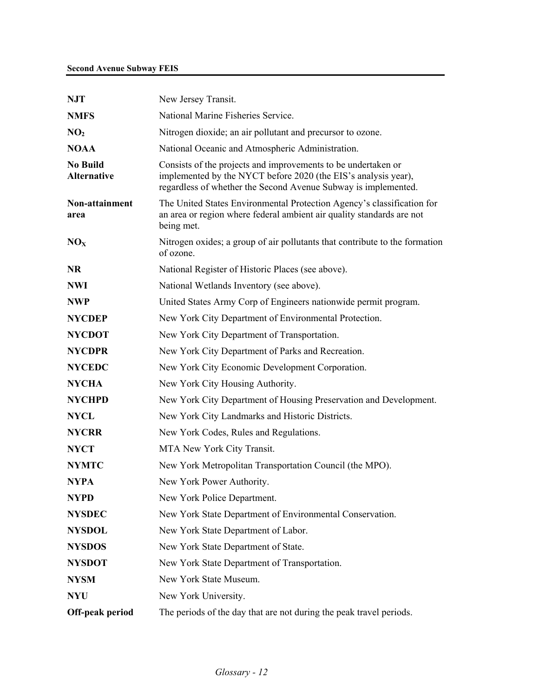| <b>NJT</b>                            | New Jersey Transit.                                                                                                                                                                               |
|---------------------------------------|---------------------------------------------------------------------------------------------------------------------------------------------------------------------------------------------------|
| <b>NMFS</b>                           | National Marine Fisheries Service.                                                                                                                                                                |
| NO <sub>2</sub>                       | Nitrogen dioxide; an air pollutant and precursor to ozone.                                                                                                                                        |
| <b>NOAA</b>                           | National Oceanic and Atmospheric Administration.                                                                                                                                                  |
| <b>No Build</b><br><b>Alternative</b> | Consists of the projects and improvements to be undertaken or<br>implemented by the NYCT before 2020 (the EIS's analysis year),<br>regardless of whether the Second Avenue Subway is implemented. |
| Non-attainment<br>area                | The United States Environmental Protection Agency's classification for<br>an area or region where federal ambient air quality standards are not<br>being met.                                     |
| NO <sub>x</sub>                       | Nitrogen oxides; a group of air pollutants that contribute to the formation<br>of ozone.                                                                                                          |
| <b>NR</b>                             | National Register of Historic Places (see above).                                                                                                                                                 |
| <b>NWI</b>                            | National Wetlands Inventory (see above).                                                                                                                                                          |
| <b>NWP</b>                            | United States Army Corp of Engineers nationwide permit program.                                                                                                                                   |
| <b>NYCDEP</b>                         | New York City Department of Environmental Protection.                                                                                                                                             |
| <b>NYCDOT</b>                         | New York City Department of Transportation.                                                                                                                                                       |
| <b>NYCDPR</b>                         | New York City Department of Parks and Recreation.                                                                                                                                                 |
| <b>NYCEDC</b>                         | New York City Economic Development Corporation.                                                                                                                                                   |
| <b>NYCHA</b>                          | New York City Housing Authority.                                                                                                                                                                  |
| <b>NYCHPD</b>                         | New York City Department of Housing Preservation and Development.                                                                                                                                 |
| <b>NYCL</b>                           | New York City Landmarks and Historic Districts.                                                                                                                                                   |
| <b>NYCRR</b>                          | New York Codes, Rules and Regulations.                                                                                                                                                            |
| <b>NYCT</b>                           | MTA New York City Transit.                                                                                                                                                                        |
| <b>NYMTC</b>                          | New York Metropolitan Transportation Council (the MPO).                                                                                                                                           |
| <b>NYPA</b>                           | New York Power Authority.                                                                                                                                                                         |
| <b>NYPD</b>                           | New York Police Department.                                                                                                                                                                       |
| <b>NYSDEC</b>                         | New York State Department of Environmental Conservation.                                                                                                                                          |
| <b>NYSDOL</b>                         | New York State Department of Labor.                                                                                                                                                               |
| <b>NYSDOS</b>                         | New York State Department of State.                                                                                                                                                               |
| <b>NYSDOT</b>                         | New York State Department of Transportation.                                                                                                                                                      |
| <b>NYSM</b>                           | New York State Museum.                                                                                                                                                                            |
| <b>NYU</b>                            | New York University.                                                                                                                                                                              |
| Off-peak period                       | The periods of the day that are not during the peak travel periods.                                                                                                                               |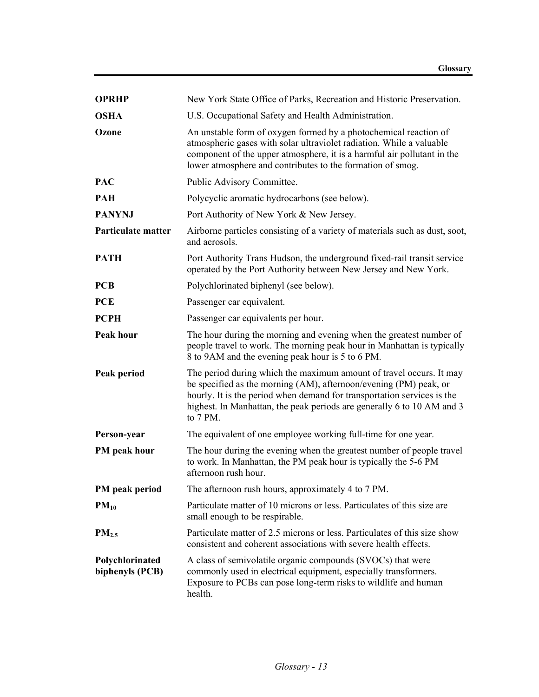| <b>OPRHP</b>                       | New York State Office of Parks, Recreation and Historic Preservation.                                                                                                                                                                                                                                     |
|------------------------------------|-----------------------------------------------------------------------------------------------------------------------------------------------------------------------------------------------------------------------------------------------------------------------------------------------------------|
| <b>OSHA</b>                        | U.S. Occupational Safety and Health Administration.                                                                                                                                                                                                                                                       |
| Ozone                              | An unstable form of oxygen formed by a photochemical reaction of<br>atmospheric gases with solar ultraviolet radiation. While a valuable<br>component of the upper atmosphere, it is a harmful air pollutant in the<br>lower atmosphere and contributes to the formation of smog.                         |
| <b>PAC</b>                         | Public Advisory Committee.                                                                                                                                                                                                                                                                                |
| <b>PAH</b>                         | Polycyclic aromatic hydrocarbons (see below).                                                                                                                                                                                                                                                             |
| <b>PANYNJ</b>                      | Port Authority of New York & New Jersey.                                                                                                                                                                                                                                                                  |
| Particulate matter                 | Airborne particles consisting of a variety of materials such as dust, soot,<br>and aerosols.                                                                                                                                                                                                              |
| <b>PATH</b>                        | Port Authority Trans Hudson, the underground fixed-rail transit service<br>operated by the Port Authority between New Jersey and New York.                                                                                                                                                                |
| <b>PCB</b>                         | Polychlorinated biphenyl (see below).                                                                                                                                                                                                                                                                     |
| <b>PCE</b>                         | Passenger car equivalent.                                                                                                                                                                                                                                                                                 |
| <b>PCPH</b>                        | Passenger car equivalents per hour.                                                                                                                                                                                                                                                                       |
| <b>Peak hour</b>                   | The hour during the morning and evening when the greatest number of<br>people travel to work. The morning peak hour in Manhattan is typically<br>8 to 9AM and the evening peak hour is 5 to 6 PM.                                                                                                         |
| Peak period                        | The period during which the maximum amount of travel occurs. It may<br>be specified as the morning (AM), afternoon/evening (PM) peak, or<br>hourly. It is the period when demand for transportation services is the<br>highest. In Manhattan, the peak periods are generally 6 to 10 AM and 3<br>to 7 PM. |
| Person-year                        | The equivalent of one employee working full-time for one year.                                                                                                                                                                                                                                            |
| PM peak hour                       | The hour during the evening when the greatest number of people travel<br>to work. In Manhattan, the PM peak hour is typically the 5-6 PM<br>afternoon rush hour.                                                                                                                                          |
| PM peak period                     | The afternoon rush hours, approximately 4 to 7 PM.                                                                                                                                                                                                                                                        |
| $PM_{10}$                          | Particulate matter of 10 microns or less. Particulates of this size are<br>small enough to be respirable.                                                                                                                                                                                                 |
| PM <sub>2.5</sub>                  | Particulate matter of 2.5 microns or less. Particulates of this size show<br>consistent and coherent associations with severe health effects.                                                                                                                                                             |
| Polychlorinated<br>biphenyls (PCB) | A class of semivolatile organic compounds (SVOCs) that were<br>commonly used in electrical equipment, especially transformers.<br>Exposure to PCBs can pose long-term risks to wildlife and human<br>health.                                                                                              |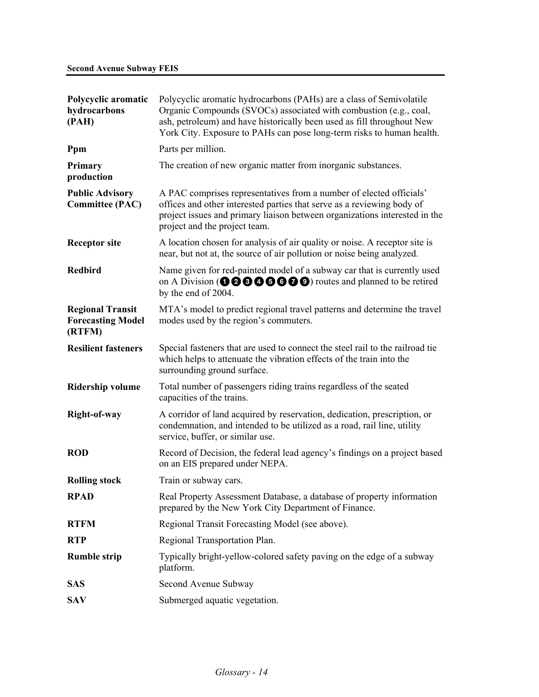| Polycyclic aromatic<br>hydrocarbons<br>(PAH)                  | Polycyclic aromatic hydrocarbons (PAHs) are a class of Semivolatile<br>Organic Compounds (SVOCs) associated with combustion (e.g., coal,<br>ash, petroleum) and have historically been used as fill throughout New<br>York City. Exposure to PAHs can pose long-term risks to human health. |
|---------------------------------------------------------------|---------------------------------------------------------------------------------------------------------------------------------------------------------------------------------------------------------------------------------------------------------------------------------------------|
| Ppm                                                           | Parts per million.                                                                                                                                                                                                                                                                          |
| Primary<br>production                                         | The creation of new organic matter from inorganic substances.                                                                                                                                                                                                                               |
| <b>Public Advisory</b><br><b>Committee (PAC)</b>              | A PAC comprises representatives from a number of elected officials'<br>offices and other interested parties that serve as a reviewing body of<br>project issues and primary liaison between organizations interested in the<br>project and the project team.                                |
| <b>Receptor site</b>                                          | A location chosen for analysis of air quality or noise. A receptor site is<br>near, but not at, the source of air pollution or noise being analyzed.                                                                                                                                        |
| <b>Redbird</b>                                                | Name given for red-painted model of a subway car that is currently used<br>on A Division ( $\mathbf{0} \otimes \mathbf{0} \otimes \mathbf{0} \otimes \mathbf{0}$ ) routes and planned to be retired<br>by the end of 2004.                                                                  |
| <b>Regional Transit</b><br><b>Forecasting Model</b><br>(RTFM) | MTA's model to predict regional travel patterns and determine the travel<br>modes used by the region's commuters.                                                                                                                                                                           |
| <b>Resilient fasteners</b>                                    | Special fasteners that are used to connect the steel rail to the railroad tie<br>which helps to attenuate the vibration effects of the train into the<br>surrounding ground surface.                                                                                                        |
| <b>Ridership volume</b>                                       | Total number of passengers riding trains regardless of the seated<br>capacities of the trains.                                                                                                                                                                                              |
| Right-of-way                                                  | A corridor of land acquired by reservation, dedication, prescription, or<br>condemnation, and intended to be utilized as a road, rail line, utility<br>service, buffer, or similar use.                                                                                                     |
| <b>ROD</b>                                                    | Record of Decision, the federal lead agency's findings on a project based<br>on an EIS prepared under NEPA.                                                                                                                                                                                 |
| <b>Rolling stock</b>                                          | Train or subway cars.                                                                                                                                                                                                                                                                       |
| <b>RPAD</b>                                                   | Real Property Assessment Database, a database of property information<br>prepared by the New York City Department of Finance.                                                                                                                                                               |
| <b>RTFM</b>                                                   | Regional Transit Forecasting Model (see above).                                                                                                                                                                                                                                             |
| <b>RTP</b>                                                    | Regional Transportation Plan.                                                                                                                                                                                                                                                               |
| <b>Rumble strip</b>                                           | Typically bright-yellow-colored safety paving on the edge of a subway<br>platform.                                                                                                                                                                                                          |
| <b>SAS</b>                                                    | Second Avenue Subway                                                                                                                                                                                                                                                                        |
| <b>SAV</b>                                                    | Submerged aquatic vegetation.                                                                                                                                                                                                                                                               |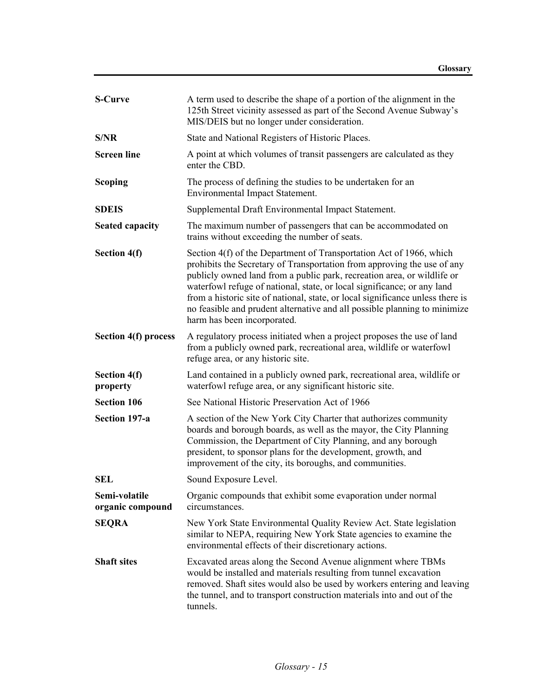| <b>S-Curve</b>                    | A term used to describe the shape of a portion of the alignment in the<br>125th Street vicinity assessed as part of the Second Avenue Subway's<br>MIS/DEIS but no longer under consideration.                                                                                                                                                                                                                                                                                                      |
|-----------------------------------|----------------------------------------------------------------------------------------------------------------------------------------------------------------------------------------------------------------------------------------------------------------------------------------------------------------------------------------------------------------------------------------------------------------------------------------------------------------------------------------------------|
| S/NR                              | State and National Registers of Historic Places.                                                                                                                                                                                                                                                                                                                                                                                                                                                   |
| <b>Screen line</b>                | A point at which volumes of transit passengers are calculated as they<br>enter the CBD.                                                                                                                                                                                                                                                                                                                                                                                                            |
| Scoping                           | The process of defining the studies to be undertaken for an<br>Environmental Impact Statement.                                                                                                                                                                                                                                                                                                                                                                                                     |
| <b>SDEIS</b>                      | Supplemental Draft Environmental Impact Statement.                                                                                                                                                                                                                                                                                                                                                                                                                                                 |
| <b>Seated capacity</b>            | The maximum number of passengers that can be accommodated on<br>trains without exceeding the number of seats.                                                                                                                                                                                                                                                                                                                                                                                      |
| Section 4(f)                      | Section 4(f) of the Department of Transportation Act of 1966, which<br>prohibits the Secretary of Transportation from approving the use of any<br>publicly owned land from a public park, recreation area, or wildlife or<br>waterfowl refuge of national, state, or local significance; or any land<br>from a historic site of national, state, or local significance unless there is<br>no feasible and prudent alternative and all possible planning to minimize<br>harm has been incorporated. |
| <b>Section 4(f) process</b>       | A regulatory process initiated when a project proposes the use of land<br>from a publicly owned park, recreational area, wildlife or waterfowl<br>refuge area, or any historic site.                                                                                                                                                                                                                                                                                                               |
| Section 4(f)<br>property          | Land contained in a publicly owned park, recreational area, wildlife or<br>waterfowl refuge area, or any significant historic site.                                                                                                                                                                                                                                                                                                                                                                |
| <b>Section 106</b>                | See National Historic Preservation Act of 1966                                                                                                                                                                                                                                                                                                                                                                                                                                                     |
| Section 197-a                     | A section of the New York City Charter that authorizes community<br>boards and borough boards, as well as the mayor, the City Planning<br>Commission, the Department of City Planning, and any borough<br>president, to sponsor plans for the development, growth, and<br>improvement of the city, its boroughs, and communities.                                                                                                                                                                  |
| <b>SEL</b>                        | Sound Exposure Level.                                                                                                                                                                                                                                                                                                                                                                                                                                                                              |
| Semi-volatile<br>organic compound | Organic compounds that exhibit some evaporation under normal<br>circumstances.                                                                                                                                                                                                                                                                                                                                                                                                                     |
| <b>SEQRA</b>                      | New York State Environmental Quality Review Act. State legislation<br>similar to NEPA, requiring New York State agencies to examine the<br>environmental effects of their discretionary actions.                                                                                                                                                                                                                                                                                                   |
| <b>Shaft sites</b>                | Excavated areas along the Second Avenue alignment where TBMs<br>would be installed and materials resulting from tunnel excavation<br>removed. Shaft sites would also be used by workers entering and leaving<br>the tunnel, and to transport construction materials into and out of the<br>tunnels.                                                                                                                                                                                                |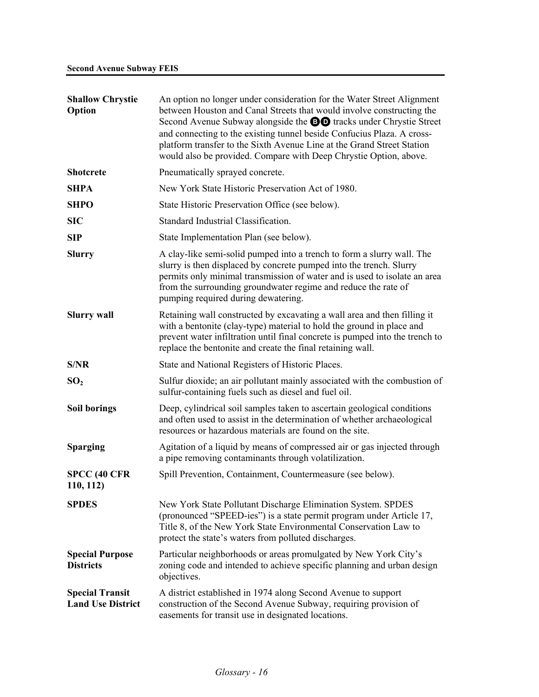| <b>Shallow Chrystie</b><br>Option                  | An option no longer under consideration for the Water Street Alignment<br>between Houston and Canal Streets that would involve constructing the<br>Second Avenue Subway alongside the <b>DO</b> tracks under Chrystie Street<br>and connecting to the existing tunnel beside Confucius Plaza. A cross-<br>platform transfer to the Sixth Avenue Line at the Grand Street Station<br>would also be provided. Compare with Deep Chrystie Option, above. |
|----------------------------------------------------|-------------------------------------------------------------------------------------------------------------------------------------------------------------------------------------------------------------------------------------------------------------------------------------------------------------------------------------------------------------------------------------------------------------------------------------------------------|
| <b>Shotcrete</b>                                   | Pneumatically sprayed concrete.                                                                                                                                                                                                                                                                                                                                                                                                                       |
| <b>SHPA</b>                                        | New York State Historic Preservation Act of 1980.                                                                                                                                                                                                                                                                                                                                                                                                     |
| <b>SHPO</b>                                        | State Historic Preservation Office (see below).                                                                                                                                                                                                                                                                                                                                                                                                       |
| <b>SIC</b>                                         | Standard Industrial Classification.                                                                                                                                                                                                                                                                                                                                                                                                                   |
| <b>SIP</b>                                         | State Implementation Plan (see below).                                                                                                                                                                                                                                                                                                                                                                                                                |
| <b>Slurry</b>                                      | A clay-like semi-solid pumped into a trench to form a slurry wall. The<br>slurry is then displaced by concrete pumped into the trench. Slurry<br>permits only minimal transmission of water and is used to isolate an area<br>from the surrounding groundwater regime and reduce the rate of<br>pumping required during dewatering.                                                                                                                   |
| <b>Slurry wall</b>                                 | Retaining wall constructed by excavating a wall area and then filling it<br>with a bentonite (clay-type) material to hold the ground in place and<br>prevent water infiltration until final concrete is pumped into the trench to<br>replace the bentonite and create the final retaining wall.                                                                                                                                                       |
| S/NR                                               | State and National Registers of Historic Places.                                                                                                                                                                                                                                                                                                                                                                                                      |
| SO <sub>2</sub>                                    | Sulfur dioxide; an air pollutant mainly associated with the combustion of<br>sulfur-containing fuels such as diesel and fuel oil.                                                                                                                                                                                                                                                                                                                     |
| <b>Soil borings</b>                                | Deep, cylindrical soil samples taken to ascertain geological conditions<br>and often used to assist in the determination of whether archaeological<br>resources or hazardous materials are found on the site.                                                                                                                                                                                                                                         |
| <b>Sparging</b>                                    | Agitation of a liquid by means of compressed air or gas injected through<br>a pipe removing contaminants through volatilization.                                                                                                                                                                                                                                                                                                                      |
| <b>SPCC (40 CFR)</b><br>110, 112)                  | Spill Prevention, Containment, Countermeasure (see below).                                                                                                                                                                                                                                                                                                                                                                                            |
| <b>SPDES</b>                                       | New York State Pollutant Discharge Elimination System. SPDES<br>(pronounced "SPEED-ies") is a state permit program under Article 17,<br>Title 8, of the New York State Environmental Conservation Law to<br>protect the state's waters from polluted discharges.                                                                                                                                                                                      |
| <b>Special Purpose</b><br><b>Districts</b>         | Particular neighborhoods or areas promulgated by New York City's<br>zoning code and intended to achieve specific planning and urban design<br>objectives.                                                                                                                                                                                                                                                                                             |
| <b>Special Transit</b><br><b>Land Use District</b> | A district established in 1974 along Second Avenue to support<br>construction of the Second Avenue Subway, requiring provision of<br>easements for transit use in designated locations.                                                                                                                                                                                                                                                               |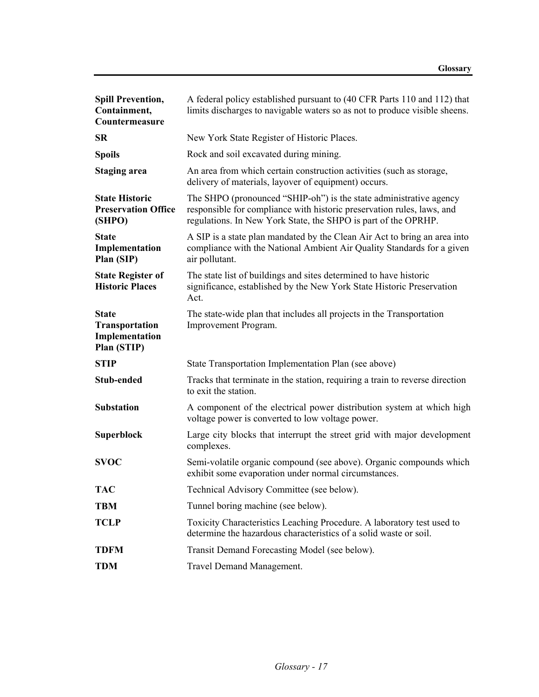| <b>Spill Prevention,</b><br>Containment,<br>Countermeasure             | A federal policy established pursuant to (40 CFR Parts 110 and 112) that<br>limits discharges to navigable waters so as not to produce visible sheens.                                                         |
|------------------------------------------------------------------------|----------------------------------------------------------------------------------------------------------------------------------------------------------------------------------------------------------------|
| <b>SR</b>                                                              | New York State Register of Historic Places.                                                                                                                                                                    |
| <b>Spoils</b>                                                          | Rock and soil excavated during mining.                                                                                                                                                                         |
| <b>Staging area</b>                                                    | An area from which certain construction activities (such as storage,<br>delivery of materials, layover of equipment) occurs.                                                                                   |
| <b>State Historic</b><br><b>Preservation Office</b><br>(SHPO)          | The SHPO (pronounced "SHIP-oh") is the state administrative agency<br>responsible for compliance with historic preservation rules, laws, and<br>regulations. In New York State, the SHPO is part of the OPRHP. |
| <b>State</b><br>Implementation<br>Plan (SIP)                           | A SIP is a state plan mandated by the Clean Air Act to bring an area into<br>compliance with the National Ambient Air Quality Standards for a given<br>air pollutant.                                          |
| <b>State Register of</b><br><b>Historic Places</b>                     | The state list of buildings and sites determined to have historic<br>significance, established by the New York State Historic Preservation<br>Act.                                                             |
| <b>State</b><br><b>Transportation</b><br>Implementation<br>Plan (STIP) | The state-wide plan that includes all projects in the Transportation<br>Improvement Program.                                                                                                                   |
| <b>STIP</b>                                                            | State Transportation Implementation Plan (see above)                                                                                                                                                           |
| <b>Stub-ended</b>                                                      | Tracks that terminate in the station, requiring a train to reverse direction<br>to exit the station.                                                                                                           |
| <b>Substation</b>                                                      | A component of the electrical power distribution system at which high<br>voltage power is converted to low voltage power.                                                                                      |
| <b>Superblock</b>                                                      | Large city blocks that interrupt the street grid with major development<br>complexes.                                                                                                                          |
| <b>SVOC</b>                                                            | Semi-volatile organic compound (see above). Organic compounds which<br>exhibit some evaporation under normal circumstances.                                                                                    |
| <b>TAC</b>                                                             | Technical Advisory Committee (see below).                                                                                                                                                                      |
| <b>TBM</b>                                                             | Tunnel boring machine (see below).                                                                                                                                                                             |
| <b>TCLP</b>                                                            | Toxicity Characteristics Leaching Procedure. A laboratory test used to<br>determine the hazardous characteristics of a solid waste or soil.                                                                    |
| <b>TDFM</b>                                                            | Transit Demand Forecasting Model (see below).                                                                                                                                                                  |
| <b>TDM</b>                                                             | Travel Demand Management.                                                                                                                                                                                      |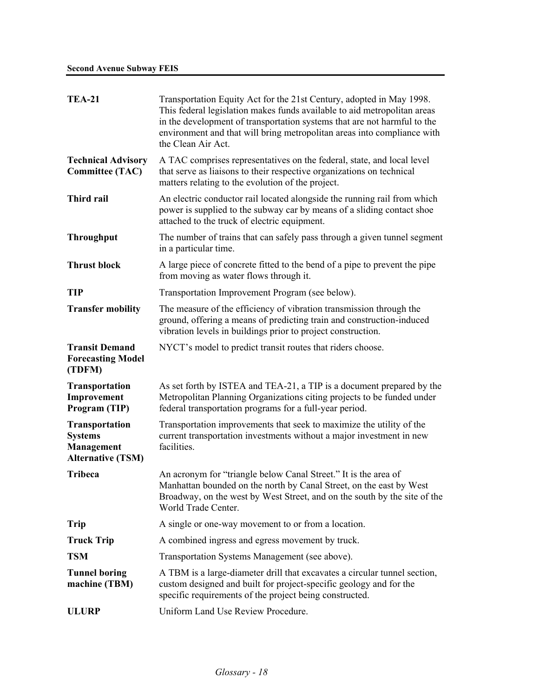| <b>TEA-21</b>                                                                            | Transportation Equity Act for the 21st Century, adopted in May 1998.<br>This federal legislation makes funds available to aid metropolitan areas<br>in the development of transportation systems that are not harmful to the<br>environment and that will bring metropolitan areas into compliance with<br>the Clean Air Act. |
|------------------------------------------------------------------------------------------|-------------------------------------------------------------------------------------------------------------------------------------------------------------------------------------------------------------------------------------------------------------------------------------------------------------------------------|
| <b>Technical Advisory</b><br><b>Committee (TAC)</b>                                      | A TAC comprises representatives on the federal, state, and local level<br>that serve as liaisons to their respective organizations on technical<br>matters relating to the evolution of the project.                                                                                                                          |
| <b>Third rail</b>                                                                        | An electric conductor rail located alongside the running rail from which<br>power is supplied to the subway car by means of a sliding contact shoe<br>attached to the truck of electric equipment.                                                                                                                            |
| <b>Throughput</b>                                                                        | The number of trains that can safely pass through a given tunnel segment<br>in a particular time.                                                                                                                                                                                                                             |
| <b>Thrust block</b>                                                                      | A large piece of concrete fitted to the bend of a pipe to prevent the pipe<br>from moving as water flows through it.                                                                                                                                                                                                          |
| <b>TIP</b>                                                                               | Transportation Improvement Program (see below).                                                                                                                                                                                                                                                                               |
| <b>Transfer mobility</b>                                                                 | The measure of the efficiency of vibration transmission through the<br>ground, offering a means of predicting train and construction-induced<br>vibration levels in buildings prior to project construction.                                                                                                                  |
| <b>Transit Demand</b><br><b>Forecasting Model</b><br>(TDFM)                              | NYCT's model to predict transit routes that riders choose.                                                                                                                                                                                                                                                                    |
| <b>Transportation</b><br>Improvement<br>Program (TIP)                                    | As set forth by ISTEA and TEA-21, a TIP is a document prepared by the<br>Metropolitan Planning Organizations citing projects to be funded under<br>federal transportation programs for a full-year period.                                                                                                                    |
| <b>Transportation</b><br><b>Systems</b><br><b>Management</b><br><b>Alternative (TSM)</b> | Transportation improvements that seek to maximize the utility of the<br>current transportation investments without a major investment in new<br>facilities.                                                                                                                                                                   |
| <b>Tribeca</b>                                                                           | An acronym for "triangle below Canal Street." It is the area of<br>Manhattan bounded on the north by Canal Street, on the east by West<br>Broadway, on the west by West Street, and on the south by the site of the<br>World Trade Center.                                                                                    |
| <b>Trip</b>                                                                              | A single or one-way movement to or from a location.                                                                                                                                                                                                                                                                           |
| <b>Truck Trip</b>                                                                        | A combined ingress and egress movement by truck.                                                                                                                                                                                                                                                                              |
| <b>TSM</b>                                                                               | Transportation Systems Management (see above).                                                                                                                                                                                                                                                                                |
| <b>Tunnel boring</b><br>machine (TBM)                                                    | A TBM is a large-diameter drill that excavates a circular tunnel section,<br>custom designed and built for project-specific geology and for the<br>specific requirements of the project being constructed.                                                                                                                    |
| <b>ULURP</b>                                                                             | Uniform Land Use Review Procedure.                                                                                                                                                                                                                                                                                            |